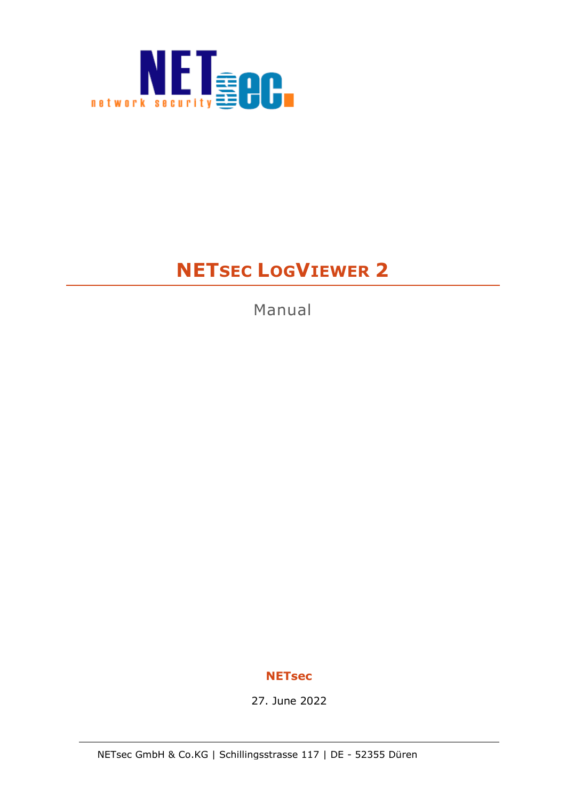

# **NETSEC LOGVIEWER 2**

Manual

### **NETsec**

27. June 2022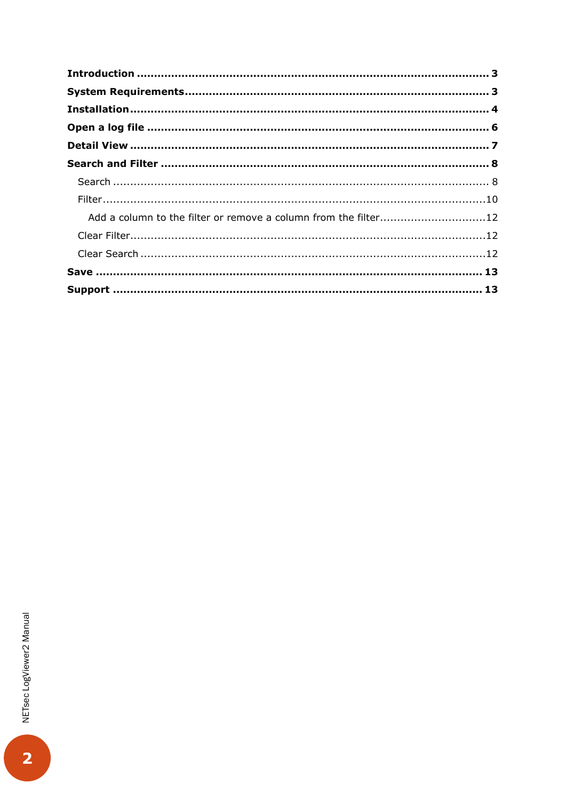| Add a column to the filter or remove a column from the filter12 |  |
|-----------------------------------------------------------------|--|
|                                                                 |  |
|                                                                 |  |
|                                                                 |  |
|                                                                 |  |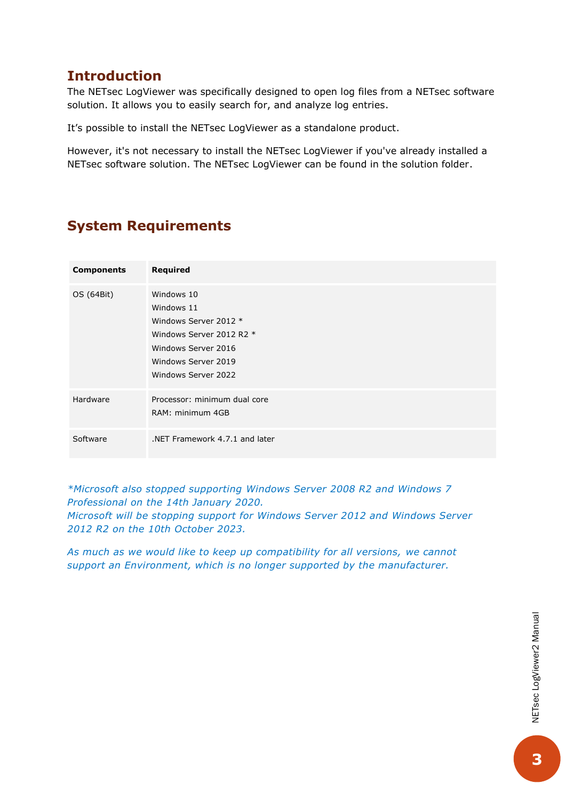# <span id="page-2-0"></span>**Introduction**

The NETsec LogViewer was specifically designed to open log files from a NETsec software solution. It allows you to easily search for, and analyze log entries.

It's possible to install the NETsec LogViewer as a standalone product.

However, it's not necessary to install the NETsec LogViewer if you've already installed a NETsec software solution. The NETsec LogViewer can be found in the solution folder.

# <span id="page-2-1"></span>**System Requirements**

| <b>Components</b> | <b>Required</b>                                                                                                                                    |
|-------------------|----------------------------------------------------------------------------------------------------------------------------------------------------|
| OS (64Bit)        | Windows 10<br>Windows 11<br>Windows Server 2012 *<br>Windows Server 2012 R2 *<br>Windows Server 2016<br>Windows Server 2019<br>Windows Server 2022 |
| Hardware          | Processor: minimum dual core<br>RAM: minimum 4GB                                                                                                   |
| Software          | NET Framework 4.7.1 and later                                                                                                                      |

*\*Microsoft also stopped supporting Windows Server 2008 R2 and Windows 7 Professional on the 14th January 2020. Microsoft will be stopping support for Windows Server 2012 and Windows Server 2012 R2 on the 10th October 2023.*

*As much as we would like to keep up compatibility for all versions, we cannot support an Environment, which is no longer supported by the manufacturer.*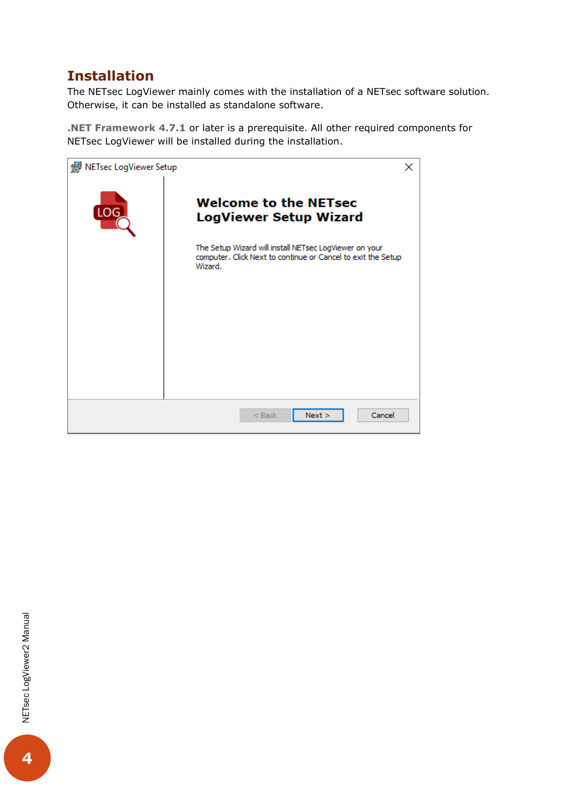# <span id="page-3-0"></span>**Installation**

The NETsec LogViewer mainly comes with the installation of a NETsec software solution. Otherwise, it can be installed as standalone software.

**.NET Framework 4.7.1** or later is a prerequisite. All other required components for NETsec LogViewer will be installed during the installation.

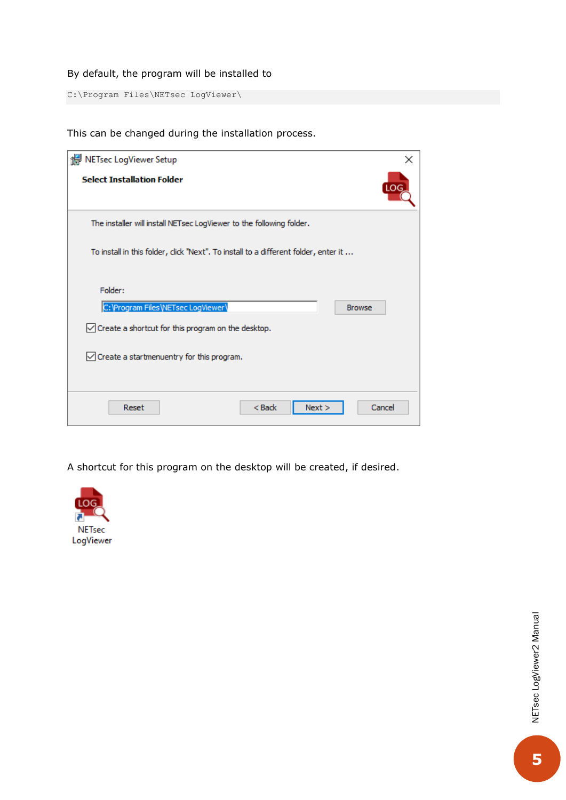#### By default, the program will be installed to

C:\Program Files\NETsec LogViewer\

This can be changed during the installation process.

| NETsec LogViewer Setup                                                              | ×          |
|-------------------------------------------------------------------------------------|------------|
| <b>Select Installation Folder</b>                                                   | <b>LOG</b> |
| The installer will install NETsec LogViewer to the following folder.                |            |
| To install in this folder, click "Next". To install to a different folder, enter it |            |
| Folder:                                                                             |            |
| C: \Program Files \NETsec LogViewer\<br><b>Browse</b>                               |            |
| $\sqrt{}$ Create a shortcut for this program on the desktop.                        |            |
| $\sqrt{\ }$ Create a startmenuentry for this program.                               |            |
| Reset<br>$Back$<br>Next                                                             | Cancel     |

A shortcut for this program on the desktop will be created, if desired.

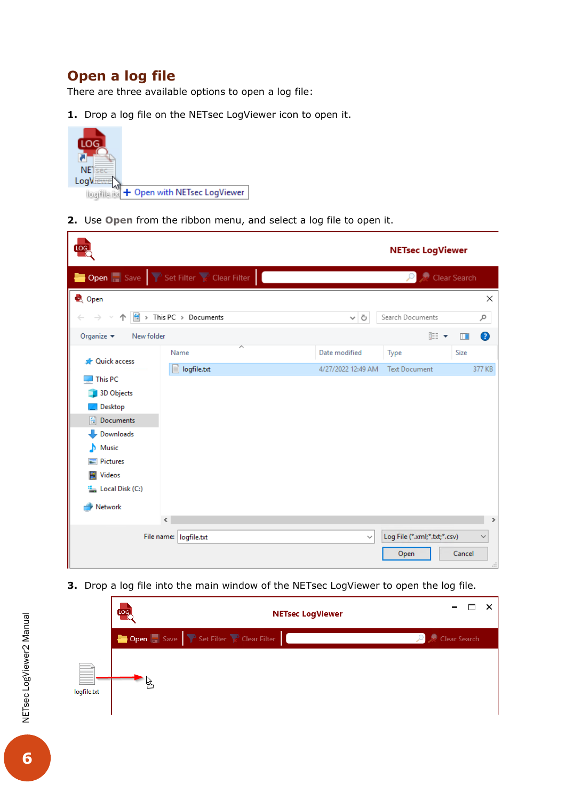# <span id="page-5-0"></span>**Open a log file**

r

There are three available options to open a log file:

**1.** Drop a log file on the NETsec LogViewer icon to open it.



**2.** Use **Open** from the ribbon menu, and select a log file to open it.

| LOG.                     |                                                                                                                                                                                                                                                                          |              |                    | <b>NETsec LogViewer</b>      |               |  |  |  |  |
|--------------------------|--------------------------------------------------------------------------------------------------------------------------------------------------------------------------------------------------------------------------------------------------------------------------|--------------|--------------------|------------------------------|---------------|--|--|--|--|
|                          | <b>Dopen</b> $\begin{array}{ c c c c }\hline \multicolumn{1}{ c }{\text{}} \end{array}$ Save $\begin{array}{ c c c c }\hline \multicolumn{1}{ c }{\text{}} \end{array}$ Set Filter $\begin{array}{ c c c }\hline \multicolumn{1}{ c }{\text{}} \end{array}$ Clear Filter | Clear Search |                    |                              |               |  |  |  |  |
| Q Open                   |                                                                                                                                                                                                                                                                          |              |                    |                              | $\times$      |  |  |  |  |
| 琧                        | > This PC > Documents                                                                                                                                                                                                                                                    |              | Ō<br>v             | Search Documents             | مر            |  |  |  |  |
| Organize v<br>New folder |                                                                                                                                                                                                                                                                          |              |                    | <b>BEE</b>                   | ◉<br>ШÏ       |  |  |  |  |
| <b>Duick access</b>      | ᄉ<br>Name                                                                                                                                                                                                                                                                |              | Date modified      | Type                         | Size          |  |  |  |  |
|                          | logfile.txt                                                                                                                                                                                                                                                              |              | 4/27/2022 12:49 AM | <b>Text Document</b>         | 377 KB        |  |  |  |  |
| This PC<br>3D Objects    |                                                                                                                                                                                                                                                                          |              |                    |                              |               |  |  |  |  |
| Desktop                  |                                                                                                                                                                                                                                                                          |              |                    |                              |               |  |  |  |  |
| Documents<br>曽           |                                                                                                                                                                                                                                                                          |              |                    |                              |               |  |  |  |  |
| Downloads                |                                                                                                                                                                                                                                                                          |              |                    |                              |               |  |  |  |  |
| Music<br>n.              |                                                                                                                                                                                                                                                                          |              |                    |                              |               |  |  |  |  |
| <b>Pictures</b>          |                                                                                                                                                                                                                                                                          |              |                    |                              |               |  |  |  |  |
| Videos                   |                                                                                                                                                                                                                                                                          |              |                    |                              |               |  |  |  |  |
| " Local Disk (C:)        |                                                                                                                                                                                                                                                                          |              |                    |                              |               |  |  |  |  |
| Network<br>÷             |                                                                                                                                                                                                                                                                          |              |                    |                              |               |  |  |  |  |
|                          | $\leq$                                                                                                                                                                                                                                                                   |              |                    |                              | $\,$          |  |  |  |  |
|                          | File name:   logfile.txt                                                                                                                                                                                                                                                 |              | $\checkmark$       | Log File (*.xml;*.txt;*.csv) | $\checkmark$  |  |  |  |  |
|                          |                                                                                                                                                                                                                                                                          |              |                    | Open                         | Cancel<br>лÍ. |  |  |  |  |

**3.** Drop a log file into the main window of the NETsec LogViewer to open the log file.

|                  | LOG. | <b>NETsec LogViewer</b>                                       |              |
|------------------|------|---------------------------------------------------------------|--------------|
|                  |      | <b>Dopen Save T</b> Set Filter <b>C</b> Clear Filter <b>C</b> | Clear Search |
| N<br>logfile.txt | kg3  |                                                               |              |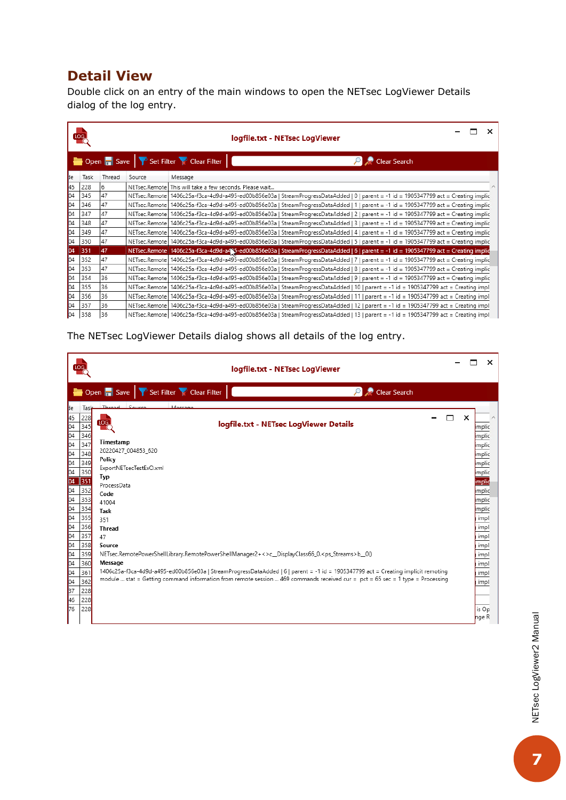# <span id="page-6-0"></span>**Detail View**

Double click on an entry of the main windows to open the NETsec LogViewer Details dialog of the log entry.

|                                                                                                 | Log, |        | logfile.txt - NETsec LogViewer |                                                                                                                                        |  |  |  |  |
|-------------------------------------------------------------------------------------------------|------|--------|--------------------------------|----------------------------------------------------------------------------------------------------------------------------------------|--|--|--|--|
| Open <b>B</b> Save <b>P</b> Set Filter <b>P</b> Clear Filter  <br>$\mathcal{P}$<br>Clear Search |      |        |                                |                                                                                                                                        |  |  |  |  |
| le                                                                                              | Task | Thread | Source                         | Message                                                                                                                                |  |  |  |  |
| 45                                                                                              | 228  | 6      |                                | NETsec.Remote   This will take a few seconds. Please wait                                                                              |  |  |  |  |
| b4                                                                                              | 345  | 47     |                                | NETsec.Remote   1406c25a-f3ca-4d9d-a495-ed00b856e03a   StreamProgressDataAdded   0   parent = -1 id = 1905347799 act = Creating implic |  |  |  |  |
| 04                                                                                              | 346  | 47     |                                | NETsec.Remote   1406c25a-f3ca-4d9d-a495-ed00b856e03a   StreamProgressDataAdded   1   parent = -1 id = 1905347799 act = Creating implic |  |  |  |  |
| 04                                                                                              | 347  | 47     |                                | NETsec.Remote   1406c25a-f3ca-4d9d-a495-ed00b856e03a   StreamProgressDataAdded   2   parent = -1 id = 1905347799 act = Creating implic |  |  |  |  |
| b <sub>4</sub>                                                                                  | 348  | 47     |                                | NETsec.Remote 1406c25a-f3ca-4d9d-a495-ed00b856e03a   StreamProgressDataAdded   3   parent = -1 id = 1905347799 act = Creating implic   |  |  |  |  |
| þ4                                                                                              | 349  | 47     |                                | NETsec.Remote   1406c25a-f3ca-4d9d-a495-ed00b856e03a   StreamProgressDataAdded   4   parent = -1 id = 1905347799 act = Creating implic |  |  |  |  |
| b4                                                                                              | 350  | 47     |                                | NETsec.Remote   1406c25a-f3ca-4d9d-a495-ed00b856e03a   StreamProgressDataAdded   5   parent = -1 id = 1905347799 act = Creating implic |  |  |  |  |
| b <sub>4</sub>                                                                                  | 351  | 47     |                                | NETsec.Remote 1406c25a-f3ca-4d9d-a4N5-ed00b856e03a   StreamProgressDataAdded   6   parent = -1 id = 1905347799 act = Creating implig   |  |  |  |  |
| 04                                                                                              | 352  | 47     |                                | NETsec.Remote   1406c25a-f3ca-4d9d-a495-ed00b856e03a   StreamProgressDataAdded   7   parent = -1 id = 1905347799 act = Creating implic |  |  |  |  |
| þ4                                                                                              | 353  | 47     |                                | NETsec.Remote   1406c25a-f3ca-4d9d-a495-ed00b856e03a   StreamProgressDataAdded   8   parent = -1 id = 1905347799 act = Creating implic |  |  |  |  |
| 04                                                                                              | 354  | 36     |                                | NETsec.Remote   1406c25a-f3ca-4d9d-a495-ed00b856e03a   StreamProgressDataAdded   9   parent = -1 id = 1905347799 act = Creating implic |  |  |  |  |
| 04                                                                                              | 355  | 36     |                                | NETsec.Remote   1406c25a-f3ca-4d9d-a495-ed00b856e03a   StreamProgressDataAdded   10   parent = -1 id = 1905347799 act = Creating impl  |  |  |  |  |
| 04                                                                                              | 356  | 36     |                                | NETsec.Remote   1406c25a-f3ca-4d9d-a495-ed00b856e03a   StreamProgressDataAdded   11   parent = -1 id = 1905347799 act = Creating impl  |  |  |  |  |
| $\overline{04}$                                                                                 | 357  | 36     |                                | NETsec.Remote   1406c25a-f3ca-4d9d-a495-ed00b856e03a   StreamProgressDataAdded   12   parent = -1 id = 1905347799 act = Creating impl  |  |  |  |  |
| 04                                                                                              | 358  | 36     |                                | NETsec.Remote   1406c25a-f3ca-4d9d-a495-ed00b856e03a   StreamProgressDataAdded   13   parent = -1 id = 1905347799 act = Creating impl  |  |  |  |  |

The NETsec LogViewer Details dialog shows all details of the log entry.

| <sub>ie</sub><br>Tasl<br>$\frac{45}{04}$ $\frac{04}{04}$ $\frac{04}{04}$ $\frac{04}{04}$ $\frac{04}{04}$ $\frac{04}{04}$ $\frac{04}{04}$ $\frac{04}{04}$ $\frac{04}{04}$ $\frac{04}{04}$ $\frac{04}{04}$ $\frac{04}{04}$ $\frac{04}{04}$ $\frac{04}{04}$ $\frac{04}{04}$<br>228<br>345<br>346<br>347<br>348 | Open <b>B</b> Save <b>P</b> Set Filter <b>R</b> Clear Filter<br>Clear Search<br>$\mathcal{P}$<br>Throad<br>Sauce                                                                                                                                                               |   |   |                            |
|-------------------------------------------------------------------------------------------------------------------------------------------------------------------------------------------------------------------------------------------------------------------------------------------------------------|--------------------------------------------------------------------------------------------------------------------------------------------------------------------------------------------------------------------------------------------------------------------------------|---|---|----------------------------|
|                                                                                                                                                                                                                                                                                                             |                                                                                                                                                                                                                                                                                |   |   |                            |
|                                                                                                                                                                                                                                                                                                             |                                                                                                                                                                                                                                                                                |   |   |                            |
|                                                                                                                                                                                                                                                                                                             | LOG.<br>logfile.txt - NETsec LogViewer Details                                                                                                                                                                                                                                 | ┍ | × | implic                     |
|                                                                                                                                                                                                                                                                                                             | Timestamp<br>20220427_004853_620                                                                                                                                                                                                                                               |   |   | implic<br>implic<br>implic |
| 349<br>350<br>351                                                                                                                                                                                                                                                                                           | Policy<br>ExportNETsecTestExO.xml<br>Typ<br>ProcessData                                                                                                                                                                                                                        |   |   | implic<br>implic<br>implic |
| 352<br>353<br>354                                                                                                                                                                                                                                                                                           | Code<br>41004<br>Task                                                                                                                                                                                                                                                          |   |   | implic<br>implic<br>implic |
| 355<br>356<br>357                                                                                                                                                                                                                                                                                           | 351<br><b>Thread</b><br>47                                                                                                                                                                                                                                                     |   |   | impl<br>impl<br>impl       |
| 358<br>359                                                                                                                                                                                                                                                                                                  | Source<br>NETsec.RemotePowerShellLibrary.RemotePowerShellManager2+<>c_DisplayClass66_0. <ps_streams>b_0()</ps_streams>                                                                                                                                                         |   |   | impl<br>impl               |
| 360<br>361<br>362                                                                                                                                                                                                                                                                                           | Message<br>1406c25a-f3ca-4d9d-a495-ed00b856e03a   StreamProgressDataAdded   6   parent = -1 id = 1905347799 act = Creating implicit remoting<br>module  stat = Getting command information from remote session  469 commands received cur = pct = 65 sec = 1 type = Processing |   |   | impl<br>impl<br>impl       |
| 228<br>228<br>228                                                                                                                                                                                                                                                                                           |                                                                                                                                                                                                                                                                                |   |   | is Op                      |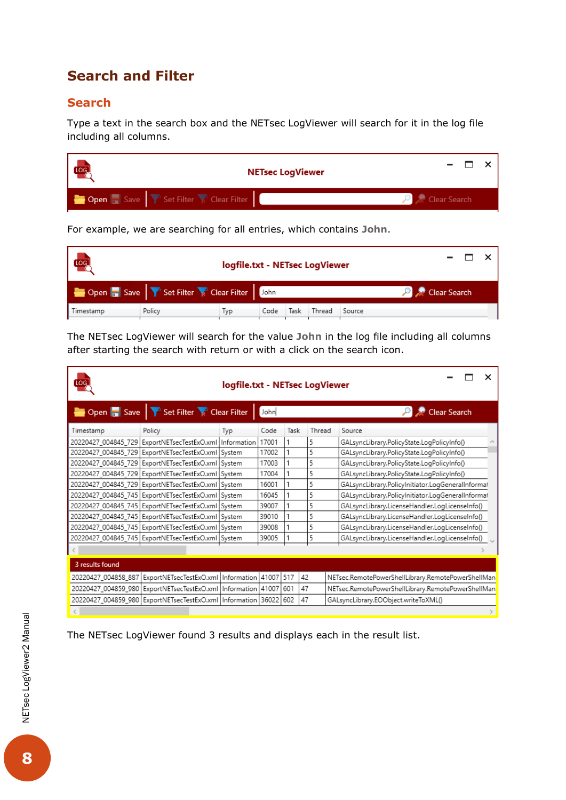# <span id="page-7-0"></span>**Search and Filter**

### <span id="page-7-1"></span>**Search**

Type a text in the search box and the NETsec LogViewer will search for it in the log file including all columns.



For example, we are searching for all entries, which contains **John**.

| Log                                                                |        |      |      |      |        |        |              |  |
|--------------------------------------------------------------------|--------|------|------|------|--------|--------|--------------|--|
| Open <b>De Save T</b> Set Filter <b>C</b> Clear Filter <b>Dohn</b> |        |      |      |      |        |        | Clear Search |  |
| Timestamp                                                          | Policy | l yp | Code | Task | Thread | Source |              |  |

The NETsec LogViewer will search for the value **John** in the log file including all columns after starting the search with return or with a click on the search icon.

| iog                 |                                                                 | logfile.txt - NETsec LogViewer |                      |      |        |  |                                                    |  |  |
|---------------------|-----------------------------------------------------------------|--------------------------------|----------------------|------|--------|--|----------------------------------------------------|--|--|
|                     | Open <b>Save Y</b> Set Filter <b>Clear Filter</b>               |                                | Clear Search<br>John |      |        |  |                                                    |  |  |
| Timestamp           | Policy                                                          | Typ                            | Code                 | Task | Thread |  | Source                                             |  |  |
|                     | 20220427 004845 729 ExportNETsecTestExO.xml   Information       |                                | 17001                |      | 5      |  | GALsyncLibrary.PolicyState.LogPolicyInfo()         |  |  |
|                     | 20220427_004845_729   ExportNETsecTestExO.xml   System          |                                | 17002                |      | 5      |  | GALsyncLibrary.PolicyState.LogPolicyInfo()         |  |  |
|                     | 20220427_004845_729   ExportNETsecTestExO.xml System            |                                | 17003                |      | 5      |  | GALsyncLibrary.PolicyState.LogPolicyInfo()         |  |  |
|                     | 20220427_004845_729   ExportNETsecTestExO.xml   System          |                                | 17004                |      | 5      |  | GALsyncLibrary.PolicyState.LogPolicyInfo()         |  |  |
|                     | 20220427_004845_729   ExportNETsecTestExO.xml System            |                                | 16001                |      | 5      |  | GALsyncLibrary.PolicyInitiator.LogGeneralInformat  |  |  |
|                     | 20220427_004845_745   ExportNETsecTestExO.xml   System          |                                | 16045                |      | 5      |  | GALsyncLibrary.PolicyInitiator.LogGeneralInformat  |  |  |
|                     | 20220427_004845_745   ExportNETsecTestExO.xml System            |                                | 39007                |      | 5      |  | GALsyncLibrary.LicenseHandler.LogLicenseInfo()     |  |  |
|                     | 20220427_004845_745   ExportNETsecTestExO.xml   System          |                                | 39010                |      | 5      |  | GALsyncLibrary.LicenseHandler.LogLicenseInfo()     |  |  |
|                     | 20220427_004845_745   ExportNETsecTestExO.xml   System          |                                | 39008                |      | 5      |  | GALsyncLibrary.LicenseHandler.LogLicenseInfo()     |  |  |
|                     | 20220427_004845_745   ExportNETsecTestExO.xml   System          |                                | 39005                |      | 5      |  | GALsyncLibrary.LicenseHandler.LogLicenseInfo()     |  |  |
|                     |                                                                 |                                |                      |      |        |  |                                                    |  |  |
| 3 results found     |                                                                 |                                |                      |      |        |  |                                                    |  |  |
| 20220427_004858_887 | ExportNETsecTestExO.xml   Information 41007                     |                                |                      | 517  | 42     |  | NETsec.RemotePowerShellLibrary.RemotePowerShellMan |  |  |
| 20220427_004859_980 | ExportNETsecTestExO.xml   Information   41007                   |                                |                      | 601  | 47     |  | NETsec.RemotePowerShellLibrary.RemotePowerShellMan |  |  |
|                     | 20220427_004859_980 ExportNETsecTestExO.xml   Information 36022 |                                |                      | 602  | 47     |  | GALsyncLibrary.EOObject.writeToXML()               |  |  |
|                     |                                                                 |                                |                      |      |        |  |                                                    |  |  |

The NETsec LogViewer found 3 results and displays each in the result list.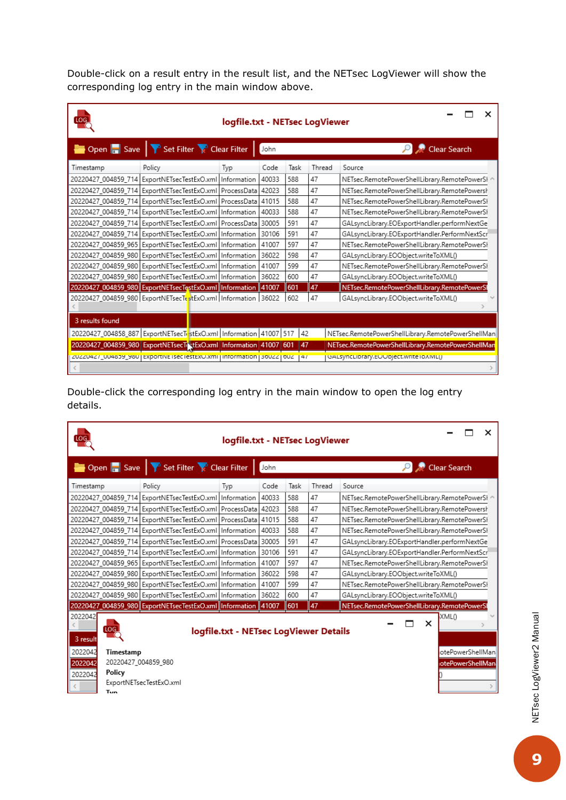Double-click on a result entry in the result list, and the NETsec LogViewer will show the corresponding log entry in the main window above.

| LOG             |                                                                                   | logfile.txt - NETsec LogViewer |       |      |        |                                                    |
|-----------------|-----------------------------------------------------------------------------------|--------------------------------|-------|------|--------|----------------------------------------------------|
|                 | Open <b>B</b> Save <b>P</b> Set Filter <b>R</b> Clear Filter                      |                                | John  |      |        | Clear Search                                       |
| Timestamp       | Policy                                                                            | Typ                            | Code  | Task | Thread | Source                                             |
|                 | 20220427_004859_714 ExportNETsecTestExO.xml   Information                         |                                | 40033 | 588  | 47     | NETsec.RemotePowerShellLibrary.RemotePowerSI ^     |
|                 | 20220427_004859_714   ExportNETsecTestExO.xml   ProcessData                       |                                | 42023 | 588  | 47     | NETsec.RemotePowerShellLibrary.RemotePowersh       |
|                 | 20220427_004859_714   ExportNETsecTestExO.xml   ProcessData   41015               |                                |       | 588  | 47     | NETsec.RemotePowerShellLibrary.RemotePowerSI       |
|                 | 20220427_004859_714 ExportNETsecTestExO.xml   Information                         |                                | 40033 | 588  | 47     | NETsec.RemotePowerShellLibrary.RemotePowerSI       |
|                 | 20220427 004859 714 ExportNETsecTestExO.xml ProcessData                           |                                | 30005 | 591  | 47     | GALsyncLibrary.EOExportHandler.performNextGe       |
|                 | 20220427_004859_714 ExportNETsecTestExO.xml   Information                         |                                | 30106 | 591  | 47     | GALsyncLibrary.EOExportHandler.PerformNextScr      |
|                 | 20220427 004859 965 ExportNETsecTestExO.xml   Information                         |                                | 41007 | 597  | 47     | NETsec.RemotePowerShellLibrary.RemotePowerSI       |
|                 | 20220427 004859 980 ExportNETsecTestExO.xml   Information                         |                                | 36022 | 598  | 47     | GALsyncLibrary.EOObject.writeToXML()               |
|                 | 20220427 004859 980 ExportNETsecTestExO.xml   Information                         |                                | 41007 | 599  | 47     | NETsec.RemotePowerShellLibrary.RemotePowerSł       |
|                 | 20220427 004859 980 ExportNETsecTestExO.xml   Information                         |                                | 36022 | 600  | 47     | GALsyncLibrary.EOObject.writeToXML()               |
|                 | 20220427_004859_980 ExportNETsecTestExO.xml   Information   41007                 |                                |       | 601  | 47     | NETsec.RemotePowerShellLibrary.RemotePowerSl       |
|                 | 20220427_004859_980 ExportNETsecTestExO.xml   Information 36022                   |                                |       | 602  | 47     | GALsyncLibrary.EOObject.writeToXML()               |
| 3 results found |                                                                                   |                                |       |      |        |                                                    |
|                 | 20220427_004858_887 ExportNETsecT.stExO.xml   Information 41007 517 42            |                                |       |      |        | NETsec.RemotePowerShellLibrary.RemotePowerShellMan |
|                 | 20220427_004859_980 ExportNETsecTixtExO.xml   Information 41007 601               |                                |       | 47   |        | NETsec.RemotePowerShellLibrary.RemotePowerShellMan |
|                 | ZUZZU4Z7_UU4839_98U   EXportive isec lestEXO.Xmi   information   300ZZ   00Z   47 |                                |       |      |        | GALSyncLibrary.EOODject.writeToAML()               |
|                 |                                                                                   |                                |       |      |        |                                                    |

Double-click the corresponding log entry in the main window to open the log entry details.

| LOG                                                                                                                                                                                                                                                                                                                                       |                                                                                     | logfile.txt - NETsec LogViewer |       |      |        |                                               |  |  |
|-------------------------------------------------------------------------------------------------------------------------------------------------------------------------------------------------------------------------------------------------------------------------------------------------------------------------------------------|-------------------------------------------------------------------------------------|--------------------------------|-------|------|--------|-----------------------------------------------|--|--|
|                                                                                                                                                                                                                                                                                                                                           | $\bullet$ Open $\bullet$ Save $\bullet$ Set Filter $\bullet$ Clear Filter $\bullet$ |                                | John  |      |        | <b>Clear Search</b>                           |  |  |
| Timestamp                                                                                                                                                                                                                                                                                                                                 | Policy                                                                              | Typ                            | Code  | Task | Thread | Source                                        |  |  |
|                                                                                                                                                                                                                                                                                                                                           | 20220427 004859 714 ExportNETsecTestExO.xml   Information                           |                                | 40033 | 588  | 47     | NETsec.RemotePowerShellLibrary.RemotePowerSl  |  |  |
|                                                                                                                                                                                                                                                                                                                                           | 20220427_004859_714   ExportNETsecTestExO.xml   ProcessData                         |                                | 42023 | 588  | 47     | NETsec.RemotePowerShellLibrary.RemotePowersh  |  |  |
|                                                                                                                                                                                                                                                                                                                                           | 20220427_004859_714 ExportNETsecTestExO.xml   ProcessData 41015                     |                                |       | 588  | 47     | NETsec.RemotePowerShellLibrary.RemotePowerSI  |  |  |
|                                                                                                                                                                                                                                                                                                                                           | 20220427_004859_714 ExportNETsecTestExO.xml   Information                           |                                | 40033 | 588  | 47     | NETsec.RemotePowerShellLibrary.RemotePowerSI  |  |  |
|                                                                                                                                                                                                                                                                                                                                           | 20220427_004859_714   ExportNETsecTestExO.xml   ProcessData   30005                 |                                |       | 591  | 47     | GALsyncLibrary.EOExportHandler.performNextGe  |  |  |
|                                                                                                                                                                                                                                                                                                                                           | 20220427 004859 714 ExportNETsecTestExO.xml   Information                           |                                | 30106 | 591  | 47     | GALsyncLibrary.EOExportHandler.PerformNextScr |  |  |
|                                                                                                                                                                                                                                                                                                                                           | 20220427_004859_965   ExportNETsecTestExO.xml   Information                         |                                | 41007 | 597  | 47     | NETsec.RemotePowerShellLibrary.RemotePowerSI  |  |  |
|                                                                                                                                                                                                                                                                                                                                           | 20220427 004859 980 ExportNETsecTestExO.xml   Information                           |                                | 36022 | 598  | 47     | GALsyncLibrary.EOObject.writeToXML()          |  |  |
|                                                                                                                                                                                                                                                                                                                                           | 20220427 004859 980 ExportNETsecTestExO.xml   Information                           |                                | 41007 | 599  | 47     | NETsec.RemotePowerShellLibrary.RemotePowerSI  |  |  |
|                                                                                                                                                                                                                                                                                                                                           | 20220427_004859_980 ExportNETsecTestExO.xml   Information                           |                                | 36022 | 600  | 47     | GALsyncLibrary.EOObject.writeToXML()          |  |  |
|                                                                                                                                                                                                                                                                                                                                           |                                                                                     |                                |       | 601  | 47     | NETsec.RemotePowerShellLibrary.RemotePowerSl  |  |  |
| 20220427_004859_980 ExportNETsecTestExO.xml   Information<br>41007<br>2022042<br>XML <sub>0</sub><br>×<br>LOG <sub>1</sub><br>logfile.txt - NETsec LogViewer Details<br>3 result<br>2022042<br>otePowerShellMan<br>Timestamp<br>20220427 004859 980<br>2022042<br><b>otePowerShellMan</b><br>Policy<br>2022042<br>ExportNETsecTestExO.xml |                                                                                     |                                |       |      |        |                                               |  |  |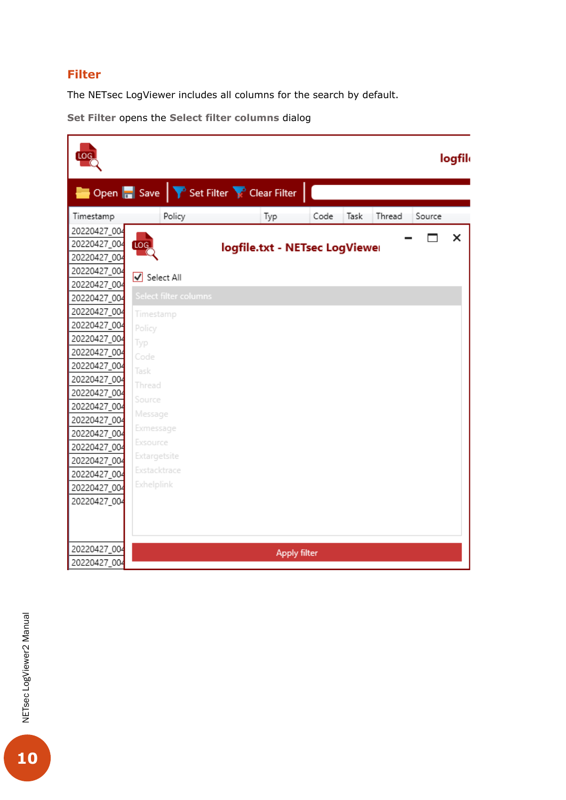#### <span id="page-9-0"></span>**Filter**

The NETsec LogViewer includes all columns for the search by default.

**Set Filter** opens the **Select filter columns** dialog

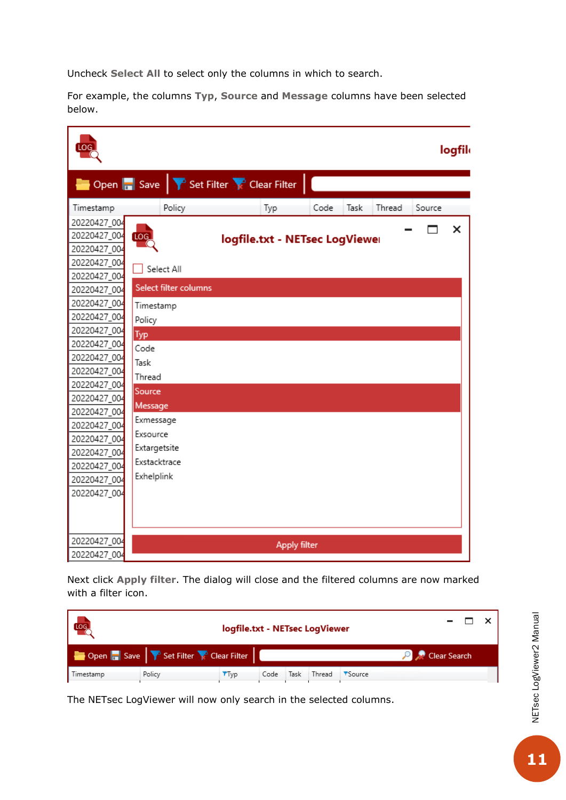Uncheck **Select All** to select only the columns in which to search.

For example, the columns **Typ**, **Source** and **Message** columns have been selected below.



Next click **Apply filter**. The dialog will close and the filtered columns are now marked with a filter icon.

| Log<br>logfile.txt - NETsec LogViewer                        |        |              |      |      |        |        |              |  |
|--------------------------------------------------------------|--------|--------------|------|------|--------|--------|--------------|--|
| Open <b>D</b> Save <b>T</b> Set Filter <b>C</b> Clear Filter |        |              |      |      |        |        | Clear Search |  |
| Timestamp                                                    | Policy | <b>T</b> Typ | Code | Task | Thread | Source |              |  |

The NETsec LogViewer will now only search in the selected columns.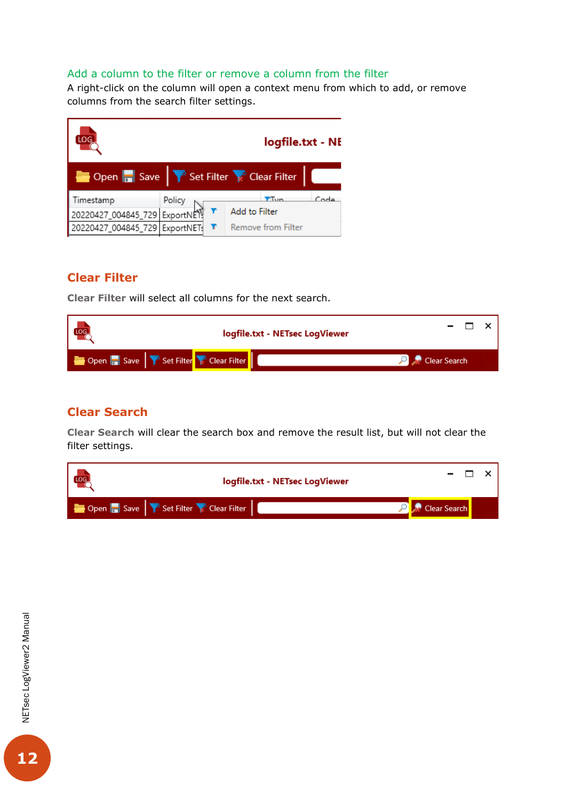#### <span id="page-11-0"></span>Add a column to the filter or remove a column from the filter

A right-click on the column will open a context menu from which to add, or remove columns from the search filter settings.



### <span id="page-11-1"></span>**Clear Filter**

**Clear Filter** will select all columns for the next search.

| LOG_<br>logfile.txt - NETsec LogViewer                     |  |              |  |
|------------------------------------------------------------|--|--------------|--|
| Den <b>Den Den Save T</b> Set Filter <b>R</b> Clear Filter |  | Clear Search |  |

### <span id="page-11-2"></span>**Clear Search**

**Clear Search** will clear the search box and remove the result list, but will not clear the filter settings.

| [log]                                      | logfile.txt - NETsec LogViewer |              |  |
|--------------------------------------------|--------------------------------|--------------|--|
| Open <b>Save V</b> Set Filter Clear Filter |                                | Clear Search |  |